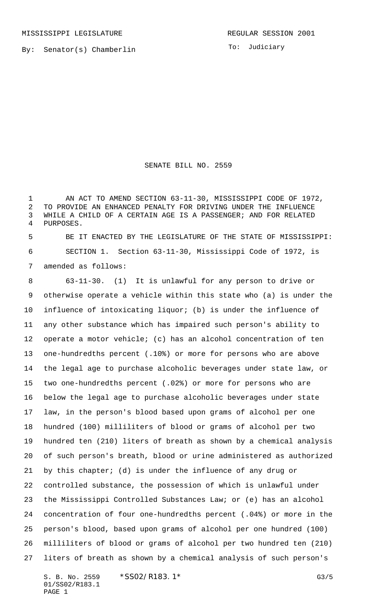MISSISSIPPI LEGISLATURE **REGULAR SESSION 2001** 

To: Judiciary

## SENATE BILL NO. 2559

1 AN ACT TO AMEND SECTION 63-11-30, MISSISSIPPI CODE OF 1972, TO PROVIDE AN ENHANCED PENALTY FOR DRIVING UNDER THE INFLUENCE WHILE A CHILD OF A CERTAIN AGE IS A PASSENGER; AND FOR RELATED PURPOSES.

 BE IT ENACTED BY THE LEGISLATURE OF THE STATE OF MISSISSIPPI: SECTION 1. Section 63-11-30, Mississippi Code of 1972, is amended as follows:

 63-11-30. (1) It is unlawful for any person to drive or otherwise operate a vehicle within this state who (a) is under the influence of intoxicating liquor; (b) is under the influence of any other substance which has impaired such person's ability to operate a motor vehicle; (c) has an alcohol concentration of ten one-hundredths percent (.10%) or more for persons who are above the legal age to purchase alcoholic beverages under state law, or two one-hundredths percent (.02%) or more for persons who are below the legal age to purchase alcoholic beverages under state law, in the person's blood based upon grams of alcohol per one hundred (100) milliliters of blood or grams of alcohol per two hundred ten (210) liters of breath as shown by a chemical analysis of such person's breath, blood or urine administered as authorized by this chapter; (d) is under the influence of any drug or controlled substance, the possession of which is unlawful under the Mississippi Controlled Substances Law; or (e) has an alcohol concentration of four one-hundredths percent (.04%) or more in the person's blood, based upon grams of alcohol per one hundred (100) milliliters of blood or grams of alcohol per two hundred ten (210) liters of breath as shown by a chemical analysis of such person's

S. B. No. 2559 \* SSO2/R183.1\* FOR STRAIN GALLS 01/SS02/R183.1 PAGE 1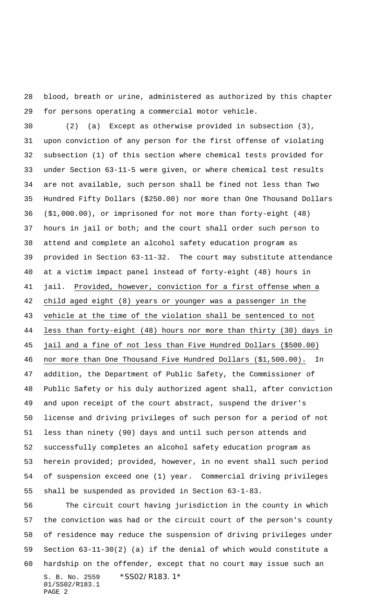blood, breath or urine, administered as authorized by this chapter for persons operating a commercial motor vehicle.

 (2) (a) Except as otherwise provided in subsection (3), upon conviction of any person for the first offense of violating subsection (1) of this section where chemical tests provided for under Section 63-11-5 were given, or where chemical test results are not available, such person shall be fined not less than Two Hundred Fifty Dollars (\$250.00) nor more than One Thousand Dollars (\$1,000.00), or imprisoned for not more than forty-eight (48) hours in jail or both; and the court shall order such person to attend and complete an alcohol safety education program as provided in Section 63-11-32. The court may substitute attendance at a victim impact panel instead of forty-eight (48) hours in jail. Provided, however, conviction for a first offense when a child aged eight (8) years or younger was a passenger in the vehicle at the time of the violation shall be sentenced to not less than forty-eight (48) hours nor more than thirty (30) days in jail and a fine of not less than Five Hundred Dollars (\$500.00) nor more than One Thousand Five Hundred Dollars (\$1,500.00). In addition, the Department of Public Safety, the Commissioner of Public Safety or his duly authorized agent shall, after conviction and upon receipt of the court abstract, suspend the driver's license and driving privileges of such person for a period of not less than ninety (90) days and until such person attends and successfully completes an alcohol safety education program as herein provided; provided, however, in no event shall such period of suspension exceed one (1) year. Commercial driving privileges shall be suspended as provided in Section 63-1-83.

S. B. No. 2559 \*SS02/R183.1\* 01/SS02/R183.1 PAGE 2 The circuit court having jurisdiction in the county in which the conviction was had or the circuit court of the person's county of residence may reduce the suspension of driving privileges under Section 63-11-30(2) (a) if the denial of which would constitute a hardship on the offender, except that no court may issue such an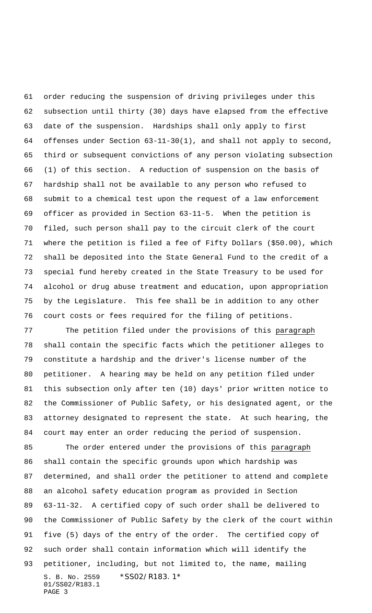order reducing the suspension of driving privileges under this subsection until thirty (30) days have elapsed from the effective date of the suspension. Hardships shall only apply to first offenses under Section 63-11-30(1), and shall not apply to second, third or subsequent convictions of any person violating subsection (1) of this section. A reduction of suspension on the basis of hardship shall not be available to any person who refused to submit to a chemical test upon the request of a law enforcement officer as provided in Section 63-11-5. When the petition is filed, such person shall pay to the circuit clerk of the court where the petition is filed a fee of Fifty Dollars (\$50.00), which shall be deposited into the State General Fund to the credit of a special fund hereby created in the State Treasury to be used for alcohol or drug abuse treatment and education, upon appropriation by the Legislature. This fee shall be in addition to any other court costs or fees required for the filing of petitions.

 The petition filed under the provisions of this paragraph shall contain the specific facts which the petitioner alleges to constitute a hardship and the driver's license number of the petitioner. A hearing may be held on any petition filed under this subsection only after ten (10) days' prior written notice to the Commissioner of Public Safety, or his designated agent, or the attorney designated to represent the state. At such hearing, the court may enter an order reducing the period of suspension.

S. B. No. 2559 \* SS02/R183.1\* 01/SS02/R183.1 PAGE 3 The order entered under the provisions of this paragraph shall contain the specific grounds upon which hardship was determined, and shall order the petitioner to attend and complete an alcohol safety education program as provided in Section 63-11-32. A certified copy of such order shall be delivered to the Commissioner of Public Safety by the clerk of the court within five (5) days of the entry of the order. The certified copy of such order shall contain information which will identify the petitioner, including, but not limited to, the name, mailing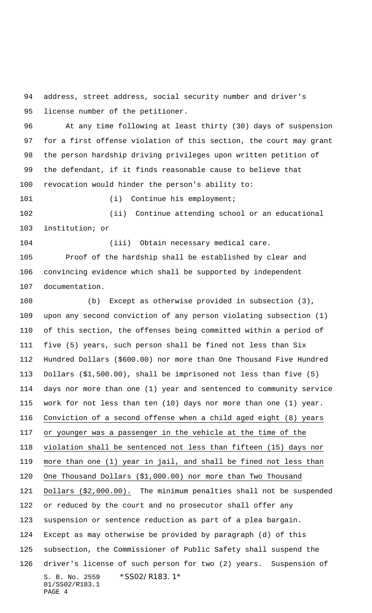address, street address, social security number and driver's license number of the petitioner.

 At any time following at least thirty (30) days of suspension for a first offense violation of this section, the court may grant the person hardship driving privileges upon written petition of the defendant, if it finds reasonable cause to believe that revocation would hinder the person's ability to:

101 (i) Continue his employment;

 (ii) Continue attending school or an educational institution; or

 (iii) Obtain necessary medical care. Proof of the hardship shall be established by clear and

 convincing evidence which shall be supported by independent documentation.

S. B. No. 2559 \*SS02/R183.1\* 01/SS02/R183.1 PAGE 4 (b) Except as otherwise provided in subsection (3), upon any second conviction of any person violating subsection (1) of this section, the offenses being committed within a period of five (5) years, such person shall be fined not less than Six Hundred Dollars (\$600.00) nor more than One Thousand Five Hundred Dollars (\$1,500.00), shall be imprisoned not less than five (5) days nor more than one (1) year and sentenced to community service work for not less than ten (10) days nor more than one (1) year. Conviction of a second offense when a child aged eight (8) years or younger was a passenger in the vehicle at the time of the violation shall be sentenced not less than fifteen (15) days nor more than one (1) year in jail, and shall be fined not less than One Thousand Dollars (\$1,000.00) nor more than Two Thousand Dollars (\$2,000.00). The minimum penalties shall not be suspended or reduced by the court and no prosecutor shall offer any suspension or sentence reduction as part of a plea bargain. Except as may otherwise be provided by paragraph (d) of this subsection, the Commissioner of Public Safety shall suspend the driver's license of such person for two (2) years. Suspension of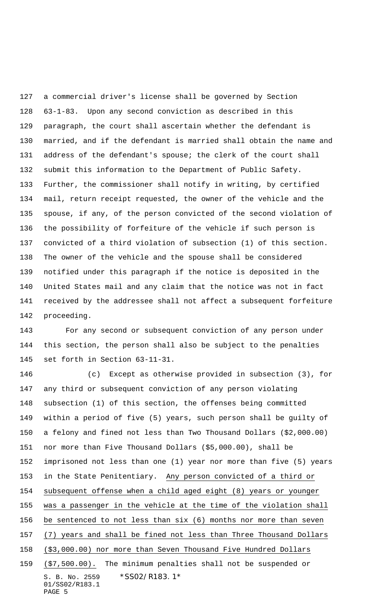a commercial driver's license shall be governed by Section 63-1-83. Upon any second conviction as described in this paragraph, the court shall ascertain whether the defendant is married, and if the defendant is married shall obtain the name and address of the defendant's spouse; the clerk of the court shall submit this information to the Department of Public Safety. Further, the commissioner shall notify in writing, by certified mail, return receipt requested, the owner of the vehicle and the spouse, if any, of the person convicted of the second violation of the possibility of forfeiture of the vehicle if such person is convicted of a third violation of subsection (1) of this section. The owner of the vehicle and the spouse shall be considered notified under this paragraph if the notice is deposited in the United States mail and any claim that the notice was not in fact received by the addressee shall not affect a subsequent forfeiture proceeding.

 For any second or subsequent conviction of any person under this section, the person shall also be subject to the penalties set forth in Section 63-11-31.

S. B. No. 2559 \*SS02/R183.1\* 01/SS02/R183.1 PAGE 5 (c) Except as otherwise provided in subsection (3), for any third or subsequent conviction of any person violating subsection (1) of this section, the offenses being committed within a period of five (5) years, such person shall be guilty of a felony and fined not less than Two Thousand Dollars (\$2,000.00) nor more than Five Thousand Dollars (\$5,000.00), shall be imprisoned not less than one (1) year nor more than five (5) years in the State Penitentiary. Any person convicted of a third or subsequent offense when a child aged eight (8) years or younger was a passenger in the vehicle at the time of the violation shall be sentenced to not less than six (6) months nor more than seven (7) years and shall be fined not less than Three Thousand Dollars (\$3,000.00) nor more than Seven Thousand Five Hundred Dollars (\$7,500.00). The minimum penalties shall not be suspended or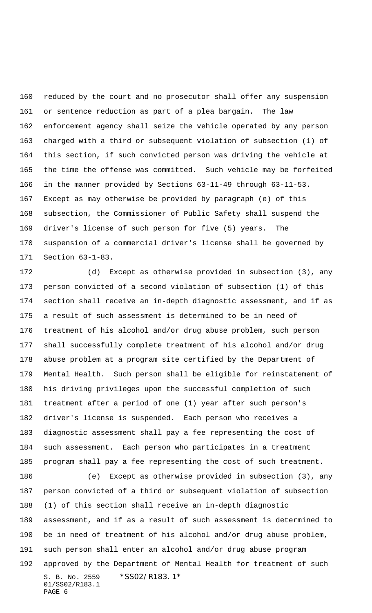reduced by the court and no prosecutor shall offer any suspension or sentence reduction as part of a plea bargain. The law enforcement agency shall seize the vehicle operated by any person charged with a third or subsequent violation of subsection (1) of this section, if such convicted person was driving the vehicle at the time the offense was committed. Such vehicle may be forfeited in the manner provided by Sections 63-11-49 through 63-11-53. Except as may otherwise be provided by paragraph (e) of this subsection, the Commissioner of Public Safety shall suspend the driver's license of such person for five (5) years. The suspension of a commercial driver's license shall be governed by Section 63-1-83.

 (d) Except as otherwise provided in subsection (3), any person convicted of a second violation of subsection (1) of this section shall receive an in-depth diagnostic assessment, and if as a result of such assessment is determined to be in need of treatment of his alcohol and/or drug abuse problem, such person shall successfully complete treatment of his alcohol and/or drug abuse problem at a program site certified by the Department of Mental Health. Such person shall be eligible for reinstatement of his driving privileges upon the successful completion of such treatment after a period of one (1) year after such person's driver's license is suspended. Each person who receives a diagnostic assessment shall pay a fee representing the cost of such assessment. Each person who participates in a treatment program shall pay a fee representing the cost of such treatment.

S. B. No. 2559 \*SS02/R183.1\* 01/SS02/R183.1 PAGE 6 (e) Except as otherwise provided in subsection (3), any person convicted of a third or subsequent violation of subsection (1) of this section shall receive an in-depth diagnostic assessment, and if as a result of such assessment is determined to be in need of treatment of his alcohol and/or drug abuse problem, such person shall enter an alcohol and/or drug abuse program approved by the Department of Mental Health for treatment of such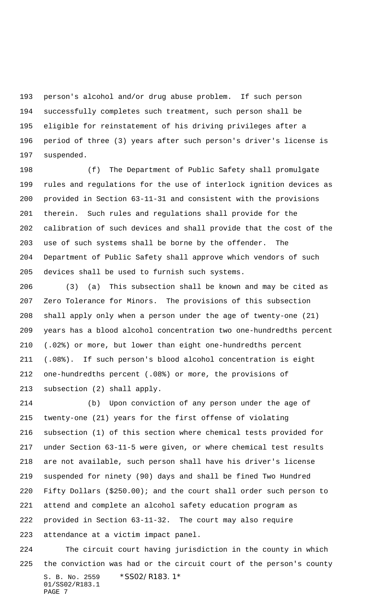person's alcohol and/or drug abuse problem. If such person successfully completes such treatment, such person shall be eligible for reinstatement of his driving privileges after a period of three (3) years after such person's driver's license is suspended.

 (f) The Department of Public Safety shall promulgate rules and regulations for the use of interlock ignition devices as provided in Section 63-11-31 and consistent with the provisions therein. Such rules and regulations shall provide for the calibration of such devices and shall provide that the cost of the use of such systems shall be borne by the offender. The Department of Public Safety shall approve which vendors of such devices shall be used to furnish such systems.

 (3) (a) This subsection shall be known and may be cited as Zero Tolerance for Minors. The provisions of this subsection shall apply only when a person under the age of twenty-one (21) years has a blood alcohol concentration two one-hundredths percent (.02%) or more, but lower than eight one-hundredths percent (.08%). If such person's blood alcohol concentration is eight one-hundredths percent (.08%) or more, the provisions of subsection (2) shall apply.

 (b) Upon conviction of any person under the age of twenty-one (21) years for the first offense of violating subsection (1) of this section where chemical tests provided for under Section 63-11-5 were given, or where chemical test results are not available, such person shall have his driver's license suspended for ninety (90) days and shall be fined Two Hundred Fifty Dollars (\$250.00); and the court shall order such person to attend and complete an alcohol safety education program as provided in Section 63-11-32. The court may also require attendance at a victim impact panel.

S. B. No. 2559 \*SS02/R183.1\* 01/SS02/R183.1 PAGE 7 The circuit court having jurisdiction in the county in which the conviction was had or the circuit court of the person's county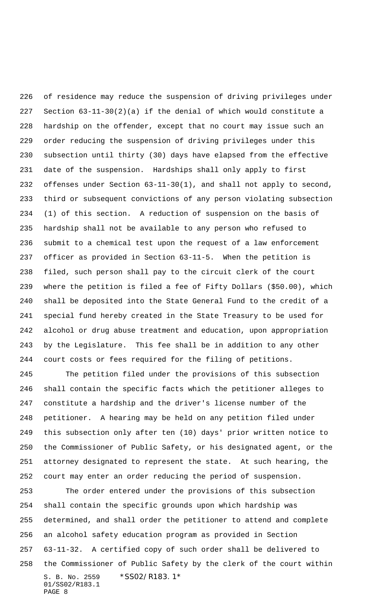of residence may reduce the suspension of driving privileges under Section 63-11-30(2)(a) if the denial of which would constitute a hardship on the offender, except that no court may issue such an order reducing the suspension of driving privileges under this subsection until thirty (30) days have elapsed from the effective date of the suspension. Hardships shall only apply to first offenses under Section 63-11-30(1), and shall not apply to second, third or subsequent convictions of any person violating subsection (1) of this section. A reduction of suspension on the basis of hardship shall not be available to any person who refused to submit to a chemical test upon the request of a law enforcement officer as provided in Section 63-11-5. When the petition is filed, such person shall pay to the circuit clerk of the court where the petition is filed a fee of Fifty Dollars (\$50.00), which shall be deposited into the State General Fund to the credit of a special fund hereby created in the State Treasury to be used for alcohol or drug abuse treatment and education, upon appropriation by the Legislature. This fee shall be in addition to any other court costs or fees required for the filing of petitions.

 The petition filed under the provisions of this subsection shall contain the specific facts which the petitioner alleges to constitute a hardship and the driver's license number of the petitioner. A hearing may be held on any petition filed under this subsection only after ten (10) days' prior written notice to the Commissioner of Public Safety, or his designated agent, or the attorney designated to represent the state. At such hearing, the court may enter an order reducing the period of suspension.

S. B. No. 2559 \* SS02/R183.1\* 01/SS02/R183.1 PAGE 8 The order entered under the provisions of this subsection shall contain the specific grounds upon which hardship was determined, and shall order the petitioner to attend and complete an alcohol safety education program as provided in Section 63-11-32. A certified copy of such order shall be delivered to the Commissioner of Public Safety by the clerk of the court within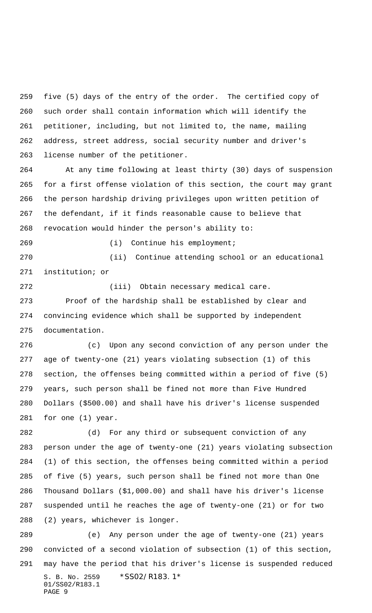five (5) days of the entry of the order. The certified copy of such order shall contain information which will identify the petitioner, including, but not limited to, the name, mailing address, street address, social security number and driver's license number of the petitioner.

 At any time following at least thirty (30) days of suspension for a first offense violation of this section, the court may grant the person hardship driving privileges upon written petition of the defendant, if it finds reasonable cause to believe that revocation would hinder the person's ability to:

(i) Continue his employment;

 (ii) Continue attending school or an educational institution; or

 Proof of the hardship shall be established by clear and convincing evidence which shall be supported by independent documentation.

(iii) Obtain necessary medical care.

 (c) Upon any second conviction of any person under the age of twenty-one (21) years violating subsection (1) of this section, the offenses being committed within a period of five (5) years, such person shall be fined not more than Five Hundred Dollars (\$500.00) and shall have his driver's license suspended for one (1) year.

 (d) For any third or subsequent conviction of any person under the age of twenty-one (21) years violating subsection (1) of this section, the offenses being committed within a period of five (5) years, such person shall be fined not more than One Thousand Dollars (\$1,000.00) and shall have his driver's license suspended until he reaches the age of twenty-one (21) or for two (2) years, whichever is longer.

S. B. No. 2559 \* SS02/R183.1\* 01/SS02/R183.1 PAGE 9 (e) Any person under the age of twenty-one (21) years convicted of a second violation of subsection (1) of this section, may have the period that his driver's license is suspended reduced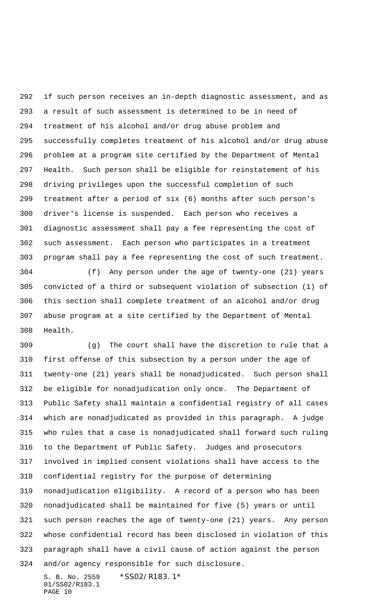if such person receives an in-depth diagnostic assessment, and as a result of such assessment is determined to be in need of treatment of his alcohol and/or drug abuse problem and successfully completes treatment of his alcohol and/or drug abuse problem at a program site certified by the Department of Mental Health. Such person shall be eligible for reinstatement of his driving privileges upon the successful completion of such treatment after a period of six (6) months after such person's driver's license is suspended. Each person who receives a diagnostic assessment shall pay a fee representing the cost of such assessment. Each person who participates in a treatment program shall pay a fee representing the cost of such treatment.

 (f) Any person under the age of twenty-one (21) years convicted of a third or subsequent violation of subsection (1) of this section shall complete treatment of an alcohol and/or drug abuse program at a site certified by the Department of Mental Health.

 (g) The court shall have the discretion to rule that a first offense of this subsection by a person under the age of twenty-one (21) years shall be nonadjudicated. Such person shall be eligible for nonadjudication only once. The Department of Public Safety shall maintain a confidential registry of all cases which are nonadjudicated as provided in this paragraph. A judge who rules that a case is nonadjudicated shall forward such ruling to the Department of Public Safety. Judges and prosecutors involved in implied consent violations shall have access to the confidential registry for the purpose of determining nonadjudication eligibility. A record of a person who has been nonadjudicated shall be maintained for five (5) years or until such person reaches the age of twenty-one (21) years. Any person whose confidential record has been disclosed in violation of this paragraph shall have a civil cause of action against the person and/or agency responsible for such disclosure.

S. B. No. 2559 \* SS02/R183.1\* 01/SS02/R183.1 PAGE 10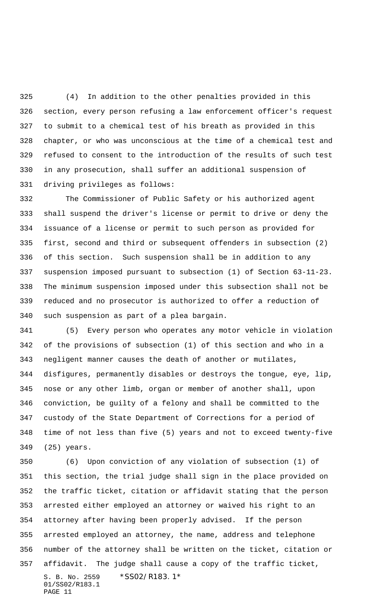(4) In addition to the other penalties provided in this section, every person refusing a law enforcement officer's request to submit to a chemical test of his breath as provided in this chapter, or who was unconscious at the time of a chemical test and refused to consent to the introduction of the results of such test in any prosecution, shall suffer an additional suspension of driving privileges as follows:

 The Commissioner of Public Safety or his authorized agent shall suspend the driver's license or permit to drive or deny the issuance of a license or permit to such person as provided for first, second and third or subsequent offenders in subsection (2) of this section. Such suspension shall be in addition to any suspension imposed pursuant to subsection (1) of Section 63-11-23. The minimum suspension imposed under this subsection shall not be reduced and no prosecutor is authorized to offer a reduction of such suspension as part of a plea bargain.

 (5) Every person who operates any motor vehicle in violation of the provisions of subsection (1) of this section and who in a negligent manner causes the death of another or mutilates, disfigures, permanently disables or destroys the tongue, eye, lip, nose or any other limb, organ or member of another shall, upon conviction, be guilty of a felony and shall be committed to the custody of the State Department of Corrections for a period of time of not less than five (5) years and not to exceed twenty-five (25) years.

S. B. No. 2559 \*SS02/R183.1\* 01/SS02/R183.1 PAGE 11 (6) Upon conviction of any violation of subsection (1) of this section, the trial judge shall sign in the place provided on the traffic ticket, citation or affidavit stating that the person arrested either employed an attorney or waived his right to an attorney after having been properly advised. If the person arrested employed an attorney, the name, address and telephone number of the attorney shall be written on the ticket, citation or affidavit. The judge shall cause a copy of the traffic ticket,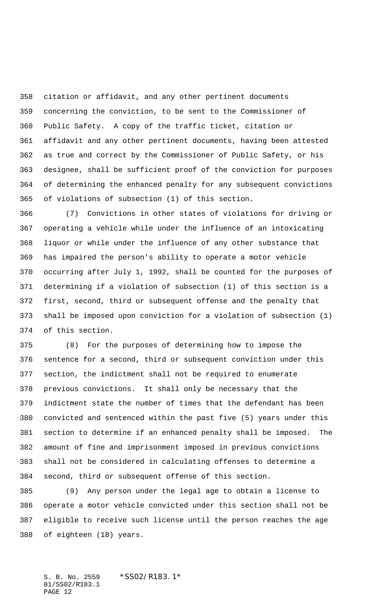citation or affidavit, and any other pertinent documents concerning the conviction, to be sent to the Commissioner of Public Safety. A copy of the traffic ticket, citation or affidavit and any other pertinent documents, having been attested as true and correct by the Commissioner of Public Safety, or his designee, shall be sufficient proof of the conviction for purposes of determining the enhanced penalty for any subsequent convictions of violations of subsection (1) of this section.

 (7) Convictions in other states of violations for driving or operating a vehicle while under the influence of an intoxicating liquor or while under the influence of any other substance that has impaired the person's ability to operate a motor vehicle occurring after July 1, 1992, shall be counted for the purposes of determining if a violation of subsection (1) of this section is a first, second, third or subsequent offense and the penalty that shall be imposed upon conviction for a violation of subsection (1) of this section.

 (8) For the purposes of determining how to impose the sentence for a second, third or subsequent conviction under this section, the indictment shall not be required to enumerate previous convictions. It shall only be necessary that the indictment state the number of times that the defendant has been convicted and sentenced within the past five (5) years under this section to determine if an enhanced penalty shall be imposed. The amount of fine and imprisonment imposed in previous convictions shall not be considered in calculating offenses to determine a second, third or subsequent offense of this section.

 (9) Any person under the legal age to obtain a license to operate a motor vehicle convicted under this section shall not be eligible to receive such license until the person reaches the age of eighteen (18) years.

S. B. No. 2559 \*SS02/R183.1\* 01/SS02/R183.1 PAGE 12